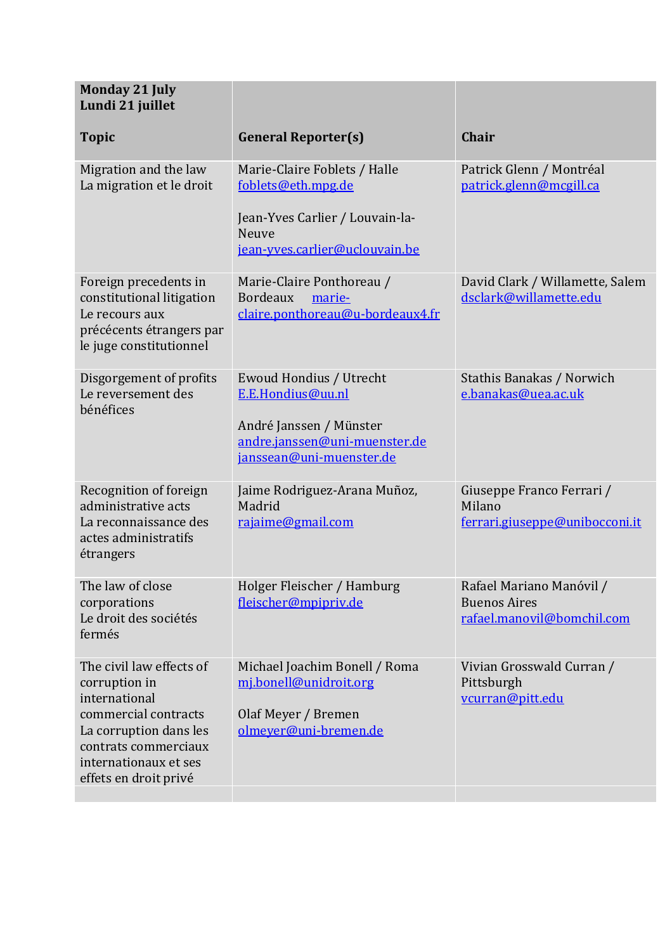| <b>Monday 21 July</b><br>Lundi 21 juillet                                                                                                                                              |                                                                                                                                         |                                                                               |
|----------------------------------------------------------------------------------------------------------------------------------------------------------------------------------------|-----------------------------------------------------------------------------------------------------------------------------------------|-------------------------------------------------------------------------------|
| <b>Topic</b>                                                                                                                                                                           | <b>General Reporter(s)</b>                                                                                                              | <b>Chair</b>                                                                  |
| Migration and the law<br>La migration et le droit                                                                                                                                      | Marie-Claire Foblets / Halle<br>foblets@eth.mpg.de<br>Jean-Yves Carlier / Louvain-la-<br><b>Neuve</b><br>jean-yves.carlier@uclouvain.be | Patrick Glenn / Montréal<br>patrick.glenn@mcgill.ca                           |
| Foreign precedents in<br>constitutional litigation<br>Le recours aux<br>précécents étrangers par<br>le juge constitutionnel                                                            | Marie-Claire Ponthoreau /<br><b>Bordeaux</b><br>marie-<br>claire.ponthoreau@u-bordeaux4.fr                                              | David Clark / Willamette, Salem<br>dsclark@willamette.edu                     |
| Disgorgement of profits<br>Le reversement des<br>bénéfices                                                                                                                             | Ewoud Hondius / Utrecht<br>E.E.Hondius@uu.nl<br>André Janssen / Münster<br>andre.janssen@uni-muenster.de<br>janssean@uni-muenster.de    | Stathis Banakas / Norwich<br>e.banakas@uea.ac.uk                              |
| Recognition of foreign<br>administrative acts<br>La reconnaissance des<br>actes administratifs<br>étrangers                                                                            | Jaime Rodriguez-Arana Muñoz,<br>Madrid<br>rajaime@gmail.com                                                                             | Giuseppe Franco Ferrari /<br>Milano<br>ferrari.giuseppe@unibocconi.it         |
| The law of close<br>corporations<br>Le droit des sociétés<br>fermés                                                                                                                    | Holger Fleischer / Hamburg<br>fleischer@mpipriv.de                                                                                      | Rafael Mariano Manóvil /<br><b>Buenos Aires</b><br>rafael.manovil@bomchil.com |
| The civil law effects of<br>corruption in<br>international<br>commercial contracts<br>La corruption dans les<br>contrats commerciaux<br>internationaux et ses<br>effets en droit privé | Michael Joachim Bonell / Roma<br>mj.bonell@unidroit.org<br>Olaf Meyer / Bremen<br>olmeyer@uni-bremen.de                                 | Vivian Grosswald Curran /<br>Pittsburgh<br>vcurran@pitt.edu                   |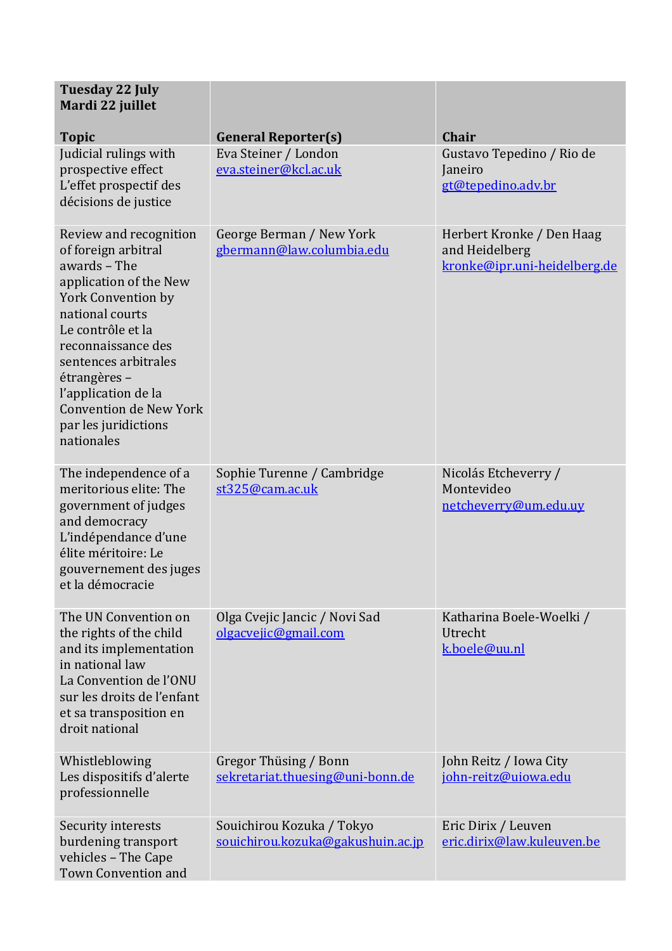| <b>Tuesday 22 July</b><br>Mardi 22 juillet<br><b>Topic</b>                                                                                                                                                                                                                                                        | <b>General Reporter(s)</b>                                     | Chair                                                                       |
|-------------------------------------------------------------------------------------------------------------------------------------------------------------------------------------------------------------------------------------------------------------------------------------------------------------------|----------------------------------------------------------------|-----------------------------------------------------------------------------|
| Judicial rulings with<br>prospective effect<br>L'effet prospectif des<br>décisions de justice                                                                                                                                                                                                                     | Eva Steiner / London<br>eva.steiner@kcl.ac.uk                  | Gustavo Tepedino / Rio de<br>Janeiro<br>gt@tepedino.adv.br                  |
| Review and recognition<br>of foreign arbitral<br>awards - The<br>application of the New<br><b>York Convention by</b><br>national courts<br>Le contrôle et la<br>reconnaissance des<br>sentences arbitrales<br>étrangères -<br>l'application de la<br>Convention de New York<br>par les juridictions<br>nationales | George Berman / New York<br>gbermann@law.columbia.edu          | Herbert Kronke / Den Haag<br>and Heidelberg<br>kronke@ipr.uni-heidelberg.de |
| The independence of a<br>meritorious elite: The<br>government of judges<br>and democracy<br>L'indépendance d'une<br>élite méritoire: Le<br>gouvernement des juges<br>et la démocracie                                                                                                                             | Sophie Turenne / Cambridge<br>st325@cam.ac.uk                  | Nicolás Etcheverry /<br>Montevideo<br>netcheverry@um.edu.uy                 |
| The UN Convention on<br>the rights of the child<br>and its implementation<br>in national law<br>La Convention de l'ONU<br>sur les droits de l'enfant<br>et sa transposition en<br>droit national                                                                                                                  | Olga Cvejic Jancic / Novi Sad<br>olgacvejic@gmail.com          | Katharina Boele-Woelki /<br>Utrecht<br>k.boele@uu.nl                        |
| Whistleblowing<br>Les dispositifs d'alerte<br>professionnelle                                                                                                                                                                                                                                                     | Gregor Thüsing / Bonn<br>sekretariat.thuesing@uni-bonn.de      | John Reitz / Iowa City<br>john-reitz@uiowa.edu                              |
| Security interests<br>burdening transport<br>vehicles - The Cape<br>Town Convention and                                                                                                                                                                                                                           | Souichirou Kozuka / Tokyo<br>souichirou.kozuka@gakushuin.ac.jp | Eric Dirix / Leuven<br>eric.dirix@law.kuleuven.be                           |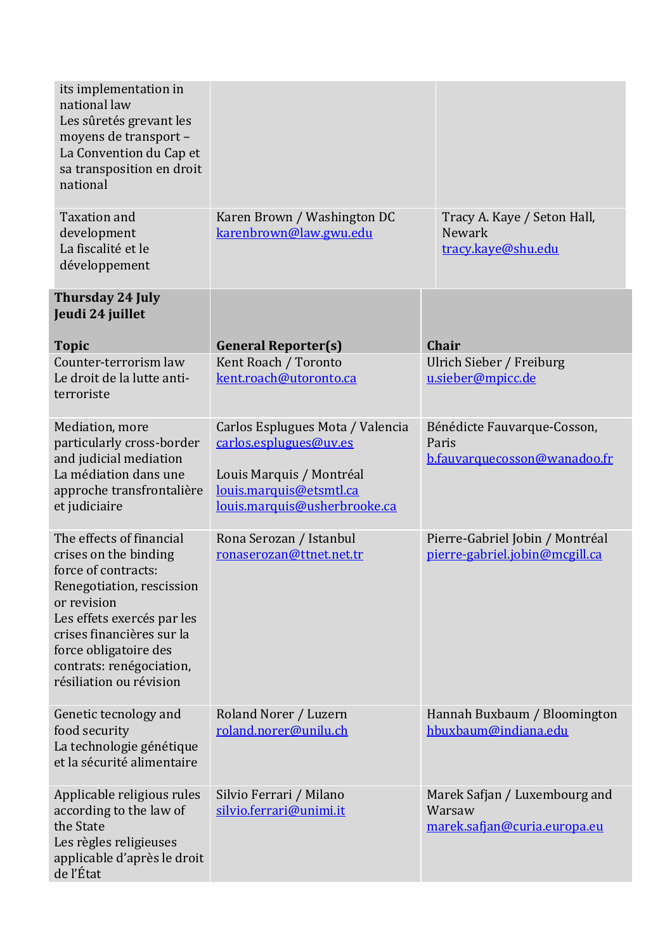| its implementation in<br>national law<br>Les sûretés grevant les<br>moyens de transport -<br>La Convention du Cap et<br>sa transposition en droit<br>national                                                                                                   |                                                                                                                                                   |                                                                         |
|-----------------------------------------------------------------------------------------------------------------------------------------------------------------------------------------------------------------------------------------------------------------|---------------------------------------------------------------------------------------------------------------------------------------------------|-------------------------------------------------------------------------|
| <b>Taxation and</b><br>development<br>La fiscalité et le<br>développement                                                                                                                                                                                       | Karen Brown / Washington DC<br>karenbrown@law.gwu.edu                                                                                             | Tracy A. Kaye / Seton Hall,<br><b>Newark</b><br>tracy.kaye@shu.edu      |
| <b>Thursday 24 July</b><br>Jeudi 24 juillet                                                                                                                                                                                                                     |                                                                                                                                                   |                                                                         |
| <b>Topic</b>                                                                                                                                                                                                                                                    | <b>General Reporter(s)</b>                                                                                                                        | <b>Chair</b>                                                            |
| Counter-terrorism law<br>Le droit de la lutte anti-<br>terroriste                                                                                                                                                                                               | Kent Roach / Toronto<br>kent.roach@utoronto.ca                                                                                                    | Ulrich Sieber / Freiburg<br>u.sieber@mpicc.de                           |
| Mediation, more<br>particularly cross-border<br>and judicial mediation<br>La médiation dans une<br>approche transfrontalière<br>et judiciaire                                                                                                                   | Carlos Esplugues Mota / Valencia<br>carlos.esplugues@uv.es<br>Louis Marquis / Montréal<br>louis.marquis@etsmtl.ca<br>louis.marquis@usherbrooke.ca | Bénédicte Fauvarque-Cosson,<br>Paris<br>b.fauvarquecosson@wanadoo.fr    |
| The effects of financial<br>crises on the binding<br>force of contracts:<br>Renegotiation, rescission<br>or revision<br>Les effets exercés par les<br>crises financières sur la<br>force obligatoire des<br>contrats: renégociation,<br>résiliation ou révision | Rona Serozan / Istanbul<br>ronaserozan@ttnet.net.tr                                                                                               | Pierre-Gabriel Jobin / Montréal<br>pierre-gabriel.jobin@mcgill.ca       |
| Genetic tecnology and<br>food security<br>La technologie génétique<br>et la sécurité alimentaire                                                                                                                                                                | Roland Norer / Luzern<br>roland.norer@unilu.ch                                                                                                    | Hannah Buxbaum / Bloomington<br>hbuxbaum@indiana.edu                    |
| Applicable religious rules<br>according to the law of<br>the State<br>Les règles religieuses<br>applicable d'après le droit<br>de l'État                                                                                                                        | Silvio Ferrari / Milano<br>silvio.ferrari@unimi.it                                                                                                | Marek Safjan / Luxembourg and<br>Warsaw<br>marek.safjan@curia.europa.eu |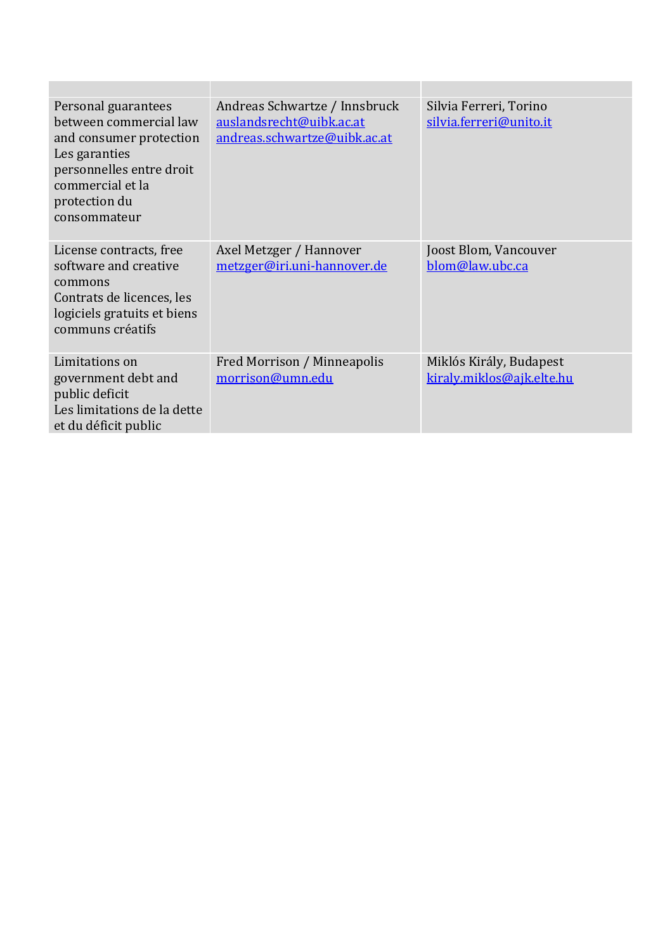| Personal guarantees<br>between commercial law<br>and consumer protection<br>Les garanties<br>personnelles entre droit<br>commercial et la<br>protection du<br>consommateur | Andreas Schwartze / Innsbruck<br>auslandsrecht@uibk.ac.at<br>andreas.schwartze@uibk.ac.at | Silvia Ferreri, Torino<br>silvia.ferreri@unito.it    |
|----------------------------------------------------------------------------------------------------------------------------------------------------------------------------|-------------------------------------------------------------------------------------------|------------------------------------------------------|
| License contracts, free<br>software and creative<br>commons<br>Contrats de licences, les<br>logiciels gratuits et biens<br>communs créatifs                                | Axel Metzger / Hannover<br>metzger@iri.uni-hannover.de                                    | Joost Blom, Vancouver<br>blom@law.ubc.ca             |
| Limitations on<br>government debt and<br>public deficit<br>Les limitations de la dette<br>et du déficit public                                                             | Fred Morrison / Minneapolis<br>morrison@umn.edu                                           | Miklós Király, Budapest<br>kiraly.miklos@ajk.elte.hu |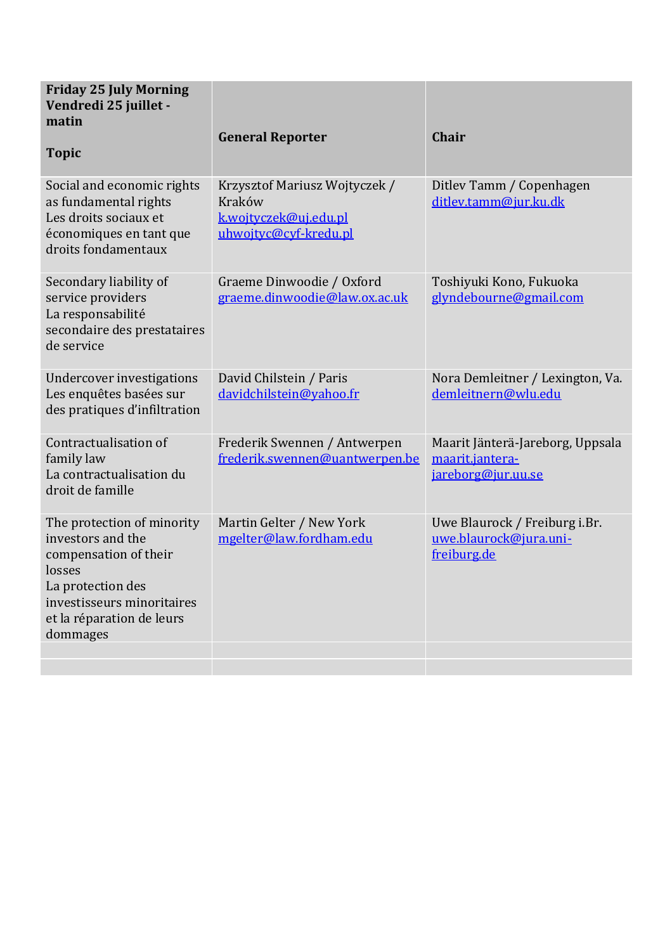| <b>Friday 25 July Morning</b><br>Vendredi 25 juillet -<br>matin<br><b>Topic</b>                                                                                                | <b>General Reporter</b>                                                                   | <b>Chair</b>                                                              |
|--------------------------------------------------------------------------------------------------------------------------------------------------------------------------------|-------------------------------------------------------------------------------------------|---------------------------------------------------------------------------|
| Social and economic rights<br>as fundamental rights<br>Les droits sociaux et<br>économiques en tant que<br>droits fondamentaux                                                 | Krzysztof Mariusz Wojtyczek /<br>Kraków<br>k.wojtyczek@uj.edu.pl<br>uhwojtyc@cyf-kredu.pl | Ditley Tamm / Copenhagen<br>ditlev.tamm@jur.ku.dk                         |
| Secondary liability of<br>service providers<br>La responsabilité<br>secondaire des prestataires<br>de service                                                                  | Graeme Dinwoodie / Oxford<br>graeme.dinwoodie@law.ox.ac.uk                                | Toshiyuki Kono, Fukuoka<br>glyndebourne@gmail.com                         |
| Undercover investigations<br>Les enquêtes basées sur<br>des pratiques d'infiltration                                                                                           | David Chilstein / Paris<br>davidchilstein@yahoo.fr                                        | Nora Demleitner / Lexington, Va.<br>demleitnern@wlu.edu                   |
| Contractualisation of<br>family law<br>La contractualisation du<br>droit de famille                                                                                            | Frederik Swennen / Antwerpen<br>frederik.swennen@uantwerpen.be                            | Maarit Jänterä-Jareborg, Uppsala<br>maarit.jantera-<br>jareborg@jur.uu.se |
| The protection of minority<br>investors and the<br>compensation of their<br>losses<br>La protection des<br>investisseurs minoritaires<br>et la réparation de leurs<br>dommages | Martin Gelter / New York<br>mgelter@law.fordham.edu                                       | Uwe Blaurock / Freiburg i.Br.<br>uwe.blaurock@jura.uni-<br>freiburg.de    |
|                                                                                                                                                                                |                                                                                           |                                                                           |